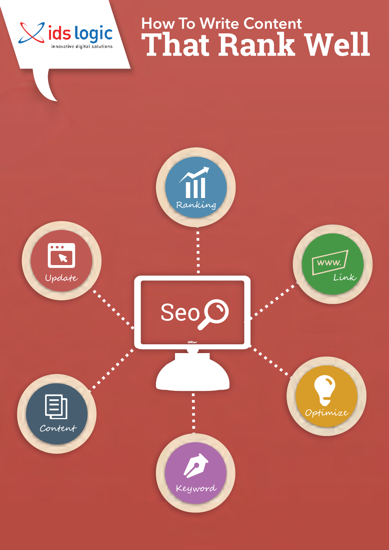



Xids logic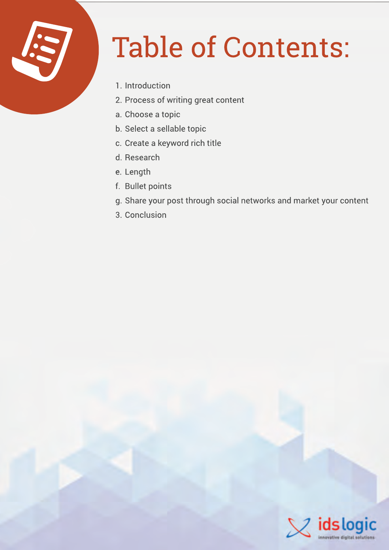

## Table of Contents:

- 1. Introduction
- 2. Process of writing great content
- a. Choose a topic
- b. Select a sellable topic
- c. Create a keyword rich title
- d. Research
- e. Length
- f. Bullet points
- g. Share your post through social networks and market your content
- 3. Conclusion

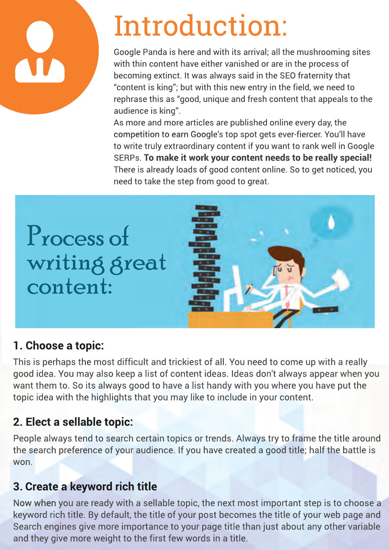### Introduction:

Google Panda is here and with its arrival; all the mushrooming sites with thin content have either vanished or are in the process of becoming extinct. It was always said in the SEO fraternity that "content is king"; but with this new entry in the field, we need to rephrase this as "good, unique and fresh content that appeals to the audience is king".

As more and more articles are published online every day, the competition to earn Google's top spot gets ever-fiercer. You'll have to write truly extraordinary content if you want to rank well in Google SERPs. **To make it work your content needs to be really special!** There is already loads of good content online. So to get noticed, you need to take the step from good to great.





#### **1. Choose a topic:**

This is perhaps the most difficult and trickiest of all. You need to come up with a really good idea. You may also keep a list of content ideas. Ideas don't always appear when you want them to. So its always good to have a list handy with you where you have put the topic idea with the highlights that you may like to include in your content.

### **2. Elect a sellable topic:**

People always tend to search certain topics or trends. Always try to frame the title around the search preference of your audience. If you have created a good title; half the battle is won.

#### **3. Create a keyword rich title**

Now when you are ready with a sellable topic, the next most important step is to choose a keyword rich title. By default, the title of your post becomes the title of your web page and Search engines give more importance to your page title than just about any other variable and they give more weight to the first few words in a title.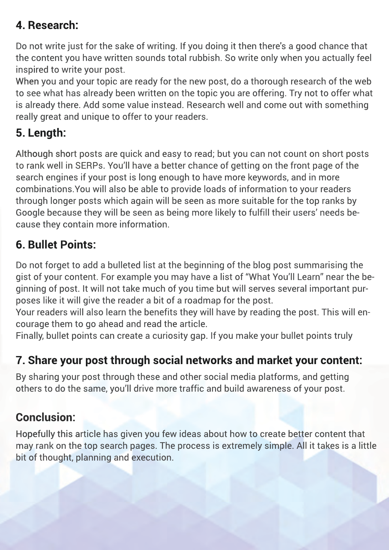#### **4. Research:**

Do not write just for the sake of writing. If you doing it then there's a good chance that the content you have written sounds total rubbish. So write only when you actually feel inspired to write your post.

When you and your topic are ready for the new post, do a thorough research of the web to see what has already been written on the topic you are offering. Try not to offer what is already there. Add some value instead. Research well and come out with something really great and unique to offer to your readers.

#### **5. Length:**

Although short posts are quick and easy to read; but you can not count on short posts to rank well in SERPs. You'll have a better chance of getting on the front page of the search engines if your post is long enough to have more keywords, and in more combinations.You will also be able to provide loads of information to your readers through longer posts which again will be seen as more suitable for the top ranks by Google because they will be seen as being more likely to fulfill their users' needs because they contain more information.

#### **6. Bullet Points:**

Do not forget to add a bulleted list at the beginning of the blog post summarising the gist of your content. For example you may have a list of "What You'll Learn" near the beginning of post. It will not take much of you time but will serves several important purposes like it will give the reader a bit of a roadmap for the post.

Your readers will also learn the benefits they will have by reading the post. This will encourage them to go ahead and read the article.

Finally, bullet points can create a curiosity gap. If you make your bullet points truly

### **7. Share your post through social networks and market your content:**

By sharing your post through these and other social media platforms, and getting others to do the same, you'll drive more traffic and build awareness of your post.

#### **Conclusion:**

Hopefully this article has given you few ideas about how to create better content that may rank on the top search pages. The process is extremely simple. All it takes is a little bit of thought, planning and execution.